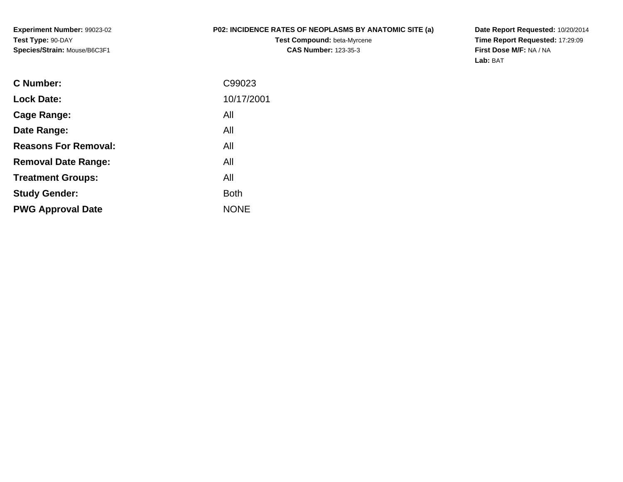**Experiment Number:** 99023-02**Test Type:** 90-DAY**Species/Strain:** Mouse/B6C3F1

## **P02: INCIDENCE RATES OF NEOPLASMS BY ANATOMIC SITE (a)**

**Test Compound:** beta-Myrcene**CAS Number:** 123-35-3

**Date Report Requested:** 10/20/2014 **Time Report Requested:** 17:29:09**First Dose M/F:** NA / NA**Lab:** BAT

| <b>C</b> Number:            | C99023      |
|-----------------------------|-------------|
| <b>Lock Date:</b>           | 10/17/2001  |
| Cage Range:                 | All         |
| Date Range:                 | All         |
| <b>Reasons For Removal:</b> | All         |
| <b>Removal Date Range:</b>  | All         |
| <b>Treatment Groups:</b>    | All         |
| <b>Study Gender:</b>        | <b>Both</b> |
| <b>PWG Approval Date</b>    | <b>NONE</b> |
|                             |             |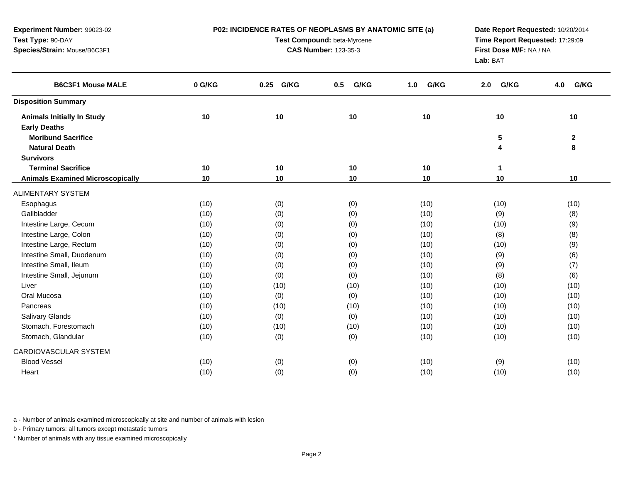| Experiment Number: 99023-02             |        | P02: INCIDENCE RATES OF NEOPLASMS BY ANATOMIC SITE (a) | Date Report Requested: 10/20/2014   |             |             |              |
|-----------------------------------------|--------|--------------------------------------------------------|-------------------------------------|-------------|-------------|--------------|
| Test Type: 90-DAY                       |        | Test Compound: beta-Myrcene                            | Time Report Requested: 17:29:09     |             |             |              |
| Species/Strain: Mouse/B6C3F1            |        | <b>CAS Number: 123-35-3</b>                            | First Dose M/F: NA / NA<br>Lab: BAT |             |             |              |
| <b>B6C3F1 Mouse MALE</b>                | 0 G/KG | 0.25 G/KG                                              | G/KG<br>0.5                         | G/KG<br>1.0 | G/KG<br>2.0 | G/KG<br>4.0  |
| <b>Disposition Summary</b>              |        |                                                        |                                     |             |             |              |
| <b>Animals Initially In Study</b>       | 10     | 10                                                     | 10                                  | 10          | 10          | 10           |
| <b>Early Deaths</b>                     |        |                                                        |                                     |             |             |              |
| <b>Moribund Sacrifice</b>               |        |                                                        |                                     |             | 5           | $\mathbf{2}$ |
| <b>Natural Death</b>                    |        |                                                        |                                     |             | 4           | 8            |
| <b>Survivors</b>                        |        |                                                        |                                     |             |             |              |
| <b>Terminal Sacrifice</b>               | 10     | 10                                                     | 10                                  | 10          | 1           |              |
| <b>Animals Examined Microscopically</b> | 10     | 10                                                     | 10                                  | 10          | 10          | 10           |
| <b>ALIMENTARY SYSTEM</b>                |        |                                                        |                                     |             |             |              |
| Esophagus                               | (10)   | (0)                                                    | (0)                                 | (10)        | (10)        | (10)         |
| Gallbladder                             | (10)   | (0)                                                    | (0)                                 | (10)        | (9)         | (8)          |
| Intestine Large, Cecum                  | (10)   | (0)                                                    | (0)                                 | (10)        | (10)        | (9)          |
| Intestine Large, Colon                  | (10)   | (0)                                                    | (0)                                 | (10)        | (8)         | (8)          |
| Intestine Large, Rectum                 | (10)   | (0)                                                    | (0)                                 | (10)        | (10)        | (9)          |
| Intestine Small, Duodenum               | (10)   | (0)                                                    | (0)                                 | (10)        | (9)         | (6)          |
| Intestine Small, Ileum                  | (10)   | (0)                                                    | (0)                                 | (10)        | (9)         | (7)          |
| Intestine Small, Jejunum                | (10)   | (0)                                                    | (0)                                 | (10)        | (8)         | (6)          |
| Liver                                   | (10)   | (10)                                                   | (10)                                | (10)        | (10)        | (10)         |
| Oral Mucosa                             | (10)   | (0)                                                    | (0)                                 | (10)        | (10)        | (10)         |
| Pancreas                                | (10)   | (10)                                                   | (10)                                | (10)        | (10)        | (10)         |
| Salivary Glands                         | (10)   | (0)                                                    | (0)                                 | (10)        | (10)        | (10)         |
| Stomach, Forestomach                    | (10)   | (10)                                                   | (10)                                | (10)        | (10)        | (10)         |
| Stomach, Glandular                      | (10)   | (0)                                                    | (0)                                 | (10)        | (10)        | (10)         |
| CARDIOVASCULAR SYSTEM                   |        |                                                        |                                     |             |             |              |
| <b>Blood Vessel</b>                     | (10)   | (0)                                                    | (0)                                 | (10)        | (9)         | (10)         |
| Heart                                   | (10)   | (0)                                                    | (0)                                 | (10)        | (10)        | (10)         |
|                                         |        |                                                        |                                     |             |             |              |

b - Primary tumors: all tumors except metastatic tumors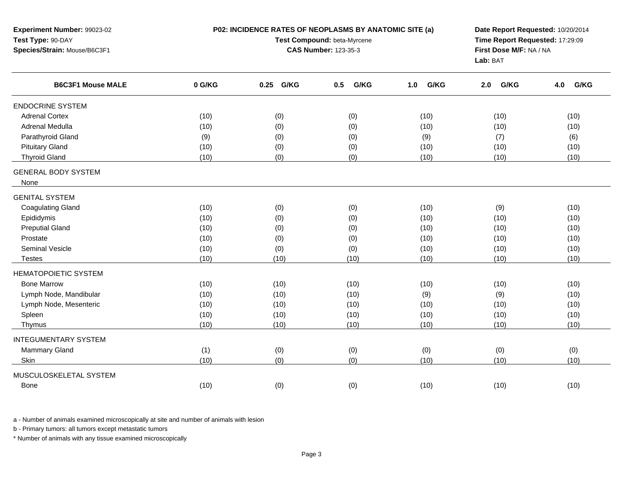| Experiment Number: 99023-02<br>Test Type: 90-DAY<br>Species/Strain: Mouse/B6C3F1 |        | P02: INCIDENCE RATES OF NEOPLASMS BY ANATOMIC SITE (a)<br>Test Compound: beta-Myrcene<br><b>CAS Number: 123-35-3</b> | Date Report Requested: 10/20/2014<br>Time Report Requested: 17:29:09<br>First Dose M/F: NA / NA<br>Lab: BAT |             |             |             |
|----------------------------------------------------------------------------------|--------|----------------------------------------------------------------------------------------------------------------------|-------------------------------------------------------------------------------------------------------------|-------------|-------------|-------------|
| <b>B6C3F1 Mouse MALE</b>                                                         | 0 G/KG | G/KG<br>0.25                                                                                                         | G/KG<br>0.5                                                                                                 | G/KG<br>1.0 | G/KG<br>2.0 | G/KG<br>4.0 |
| <b>ENDOCRINE SYSTEM</b>                                                          |        |                                                                                                                      |                                                                                                             |             |             |             |
| <b>Adrenal Cortex</b>                                                            | (10)   | (0)                                                                                                                  | (0)                                                                                                         | (10)        | (10)        | (10)        |
| Adrenal Medulla                                                                  | (10)   | (0)                                                                                                                  | (0)                                                                                                         | (10)        | (10)        | (10)        |
| Parathyroid Gland                                                                | (9)    | (0)                                                                                                                  | (0)                                                                                                         | (9)         | (7)         | (6)         |
| <b>Pituitary Gland</b>                                                           | (10)   | (0)                                                                                                                  | (0)                                                                                                         | (10)        | (10)        | (10)        |
| <b>Thyroid Gland</b>                                                             | (10)   | (0)                                                                                                                  | (0)                                                                                                         | (10)        | (10)        | (10)        |
| <b>GENERAL BODY SYSTEM</b><br>None                                               |        |                                                                                                                      |                                                                                                             |             |             |             |
| <b>GENITAL SYSTEM</b>                                                            |        |                                                                                                                      |                                                                                                             |             |             |             |
| <b>Coagulating Gland</b>                                                         | (10)   | (0)                                                                                                                  | (0)                                                                                                         | (10)        | (9)         | (10)        |
| Epididymis                                                                       | (10)   | (0)                                                                                                                  | (0)                                                                                                         | (10)        | (10)        | (10)        |
| <b>Preputial Gland</b>                                                           | (10)   | (0)                                                                                                                  | (0)                                                                                                         | (10)        | (10)        | (10)        |
| Prostate                                                                         | (10)   | (0)                                                                                                                  | (0)                                                                                                         | (10)        | (10)        | (10)        |
| <b>Seminal Vesicle</b>                                                           | (10)   | (0)                                                                                                                  | (0)                                                                                                         | (10)        | (10)        | (10)        |
| <b>Testes</b>                                                                    | (10)   | (10)                                                                                                                 | (10)                                                                                                        | (10)        | (10)        | (10)        |
| <b>HEMATOPOIETIC SYSTEM</b>                                                      |        |                                                                                                                      |                                                                                                             |             |             |             |
| <b>Bone Marrow</b>                                                               | (10)   | (10)                                                                                                                 | (10)                                                                                                        | (10)        | (10)        | (10)        |
| Lymph Node, Mandibular                                                           | (10)   | (10)                                                                                                                 | (10)                                                                                                        | (9)         | (9)         | (10)        |
| Lymph Node, Mesenteric                                                           | (10)   | (10)                                                                                                                 | (10)                                                                                                        | (10)        | (10)        | (10)        |
| Spleen                                                                           | (10)   | (10)                                                                                                                 | (10)                                                                                                        | (10)        | (10)        | (10)        |
| Thymus                                                                           | (10)   | (10)                                                                                                                 | (10)                                                                                                        | (10)        | (10)        | (10)        |
| <b>INTEGUMENTARY SYSTEM</b>                                                      |        |                                                                                                                      |                                                                                                             |             |             |             |
| Mammary Gland                                                                    | (1)    | (0)                                                                                                                  | (0)                                                                                                         | (0)         | (0)         | (0)         |
| Skin                                                                             | (10)   | (0)                                                                                                                  | (0)                                                                                                         | (10)        | (10)        | (10)        |
| MUSCULOSKELETAL SYSTEM                                                           |        |                                                                                                                      |                                                                                                             |             |             |             |
| <b>Bone</b>                                                                      | (10)   | (0)                                                                                                                  | (0)                                                                                                         | (10)        | (10)        | (10)        |

b - Primary tumors: all tumors except metastatic tumors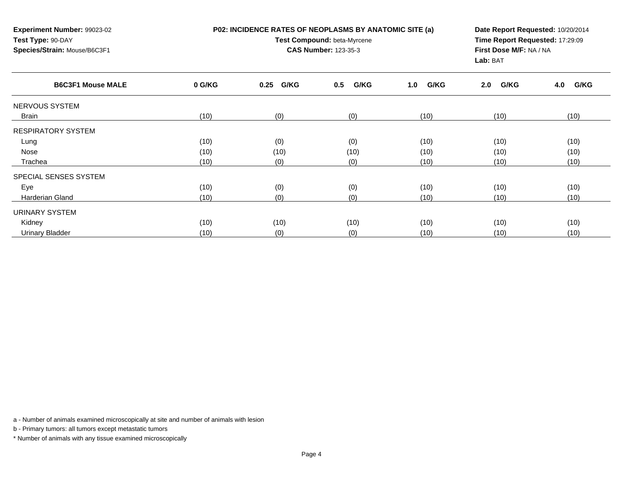| <b>Experiment Number: 99023-02</b><br>Test Type: 90-DAY<br>Species/Strain: Mouse/B6C3F1 |        | P02: INCIDENCE RATES OF NEOPLASMS BY ANATOMIC SITE (a)<br>Test Compound: beta-Myrcene<br><b>CAS Number: 123-35-3</b> | Date Report Requested: 10/20/2014<br>Time Report Requested: 17:29:09<br>First Dose M/F: NA / NA<br>Lab: BAT |             |             |             |  |
|-----------------------------------------------------------------------------------------|--------|----------------------------------------------------------------------------------------------------------------------|-------------------------------------------------------------------------------------------------------------|-------------|-------------|-------------|--|
| <b>B6C3F1 Mouse MALE</b>                                                                | 0 G/KG | 0.25<br>G/KG                                                                                                         | G/KG<br>0.5                                                                                                 | G/KG<br>1.0 | G/KG<br>2.0 | G/KG<br>4.0 |  |
| NERVOUS SYSTEM                                                                          |        |                                                                                                                      |                                                                                                             |             |             |             |  |
| Brain                                                                                   | (10)   | (0)                                                                                                                  | (0)                                                                                                         | (10)        | (10)        | (10)        |  |
| <b>RESPIRATORY SYSTEM</b>                                                               |        |                                                                                                                      |                                                                                                             |             |             |             |  |
| Lung                                                                                    | (10)   | (0)                                                                                                                  | (0)                                                                                                         | (10)        | (10)        | (10)        |  |
| Nose                                                                                    | (10)   | (10)                                                                                                                 | (10)                                                                                                        | (10)        | (10)        | (10)        |  |
| Trachea                                                                                 | (10)   | (0)                                                                                                                  | (0)                                                                                                         | (10)        | (10)        | (10)        |  |
| SPECIAL SENSES SYSTEM                                                                   |        |                                                                                                                      |                                                                                                             |             |             |             |  |
| Eye                                                                                     | (10)   | (0)                                                                                                                  | (0)                                                                                                         | (10)        | (10)        | (10)        |  |
| Harderian Gland                                                                         | (10)   | (0)                                                                                                                  | (0)                                                                                                         | (10)        | (10)        | (10)        |  |
| <b>URINARY SYSTEM</b>                                                                   |        |                                                                                                                      |                                                                                                             |             |             |             |  |
| Kidney                                                                                  | (10)   | (10)                                                                                                                 | (10)                                                                                                        | (10)        | (10)        | (10)        |  |
| Urinary Bladder                                                                         | (10)   | (0)                                                                                                                  | (0)                                                                                                         | (10)        | (10)        | (10)        |  |

b - Primary tumors: all tumors except metastatic tumors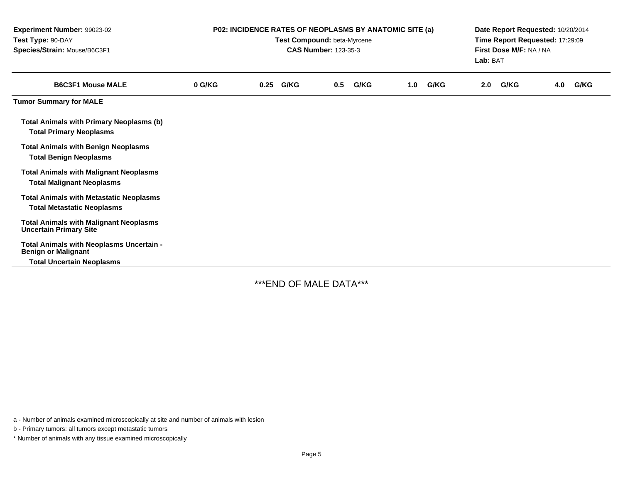| Experiment Number: 99023-02<br>Test Type: 90-DAY<br>Species/Strain: Mouse/B6C3F1    | P02: INCIDENCE RATES OF NEOPLASMS BY ANATOMIC SITE (a)<br>Test Compound: beta-Myrcene<br><b>CAS Number: 123-35-3</b> |      |      |     |      |     |      | Date Report Requested: 10/20/2014<br>Time Report Requested: 17:29:09<br>First Dose M/F: NA / NA<br>Lab: BAT |      |     |      |
|-------------------------------------------------------------------------------------|----------------------------------------------------------------------------------------------------------------------|------|------|-----|------|-----|------|-------------------------------------------------------------------------------------------------------------|------|-----|------|
| <b>B6C3F1 Mouse MALE</b>                                                            | 0 G/KG                                                                                                               | 0.25 | G/KG | 0.5 | G/KG | 1.0 | G/KG | 2.0                                                                                                         | G/KG | 4.0 | G/KG |
| <b>Tumor Summary for MALE</b>                                                       |                                                                                                                      |      |      |     |      |     |      |                                                                                                             |      |     |      |
| Total Animals with Primary Neoplasms (b)<br><b>Total Primary Neoplasms</b>          |                                                                                                                      |      |      |     |      |     |      |                                                                                                             |      |     |      |
| <b>Total Animals with Benign Neoplasms</b><br><b>Total Benign Neoplasms</b>         |                                                                                                                      |      |      |     |      |     |      |                                                                                                             |      |     |      |
| <b>Total Animals with Malignant Neoplasms</b><br><b>Total Malignant Neoplasms</b>   |                                                                                                                      |      |      |     |      |     |      |                                                                                                             |      |     |      |
| <b>Total Animals with Metastatic Neoplasms</b><br><b>Total Metastatic Neoplasms</b> |                                                                                                                      |      |      |     |      |     |      |                                                                                                             |      |     |      |
| <b>Total Animals with Malignant Neoplasms</b><br><b>Uncertain Primary Site</b>      |                                                                                                                      |      |      |     |      |     |      |                                                                                                             |      |     |      |
| Total Animals with Neoplasms Uncertain -<br><b>Benign or Malignant</b>              |                                                                                                                      |      |      |     |      |     |      |                                                                                                             |      |     |      |
| <b>Total Uncertain Neoplasms</b>                                                    |                                                                                                                      |      |      |     |      |     |      |                                                                                                             |      |     |      |

\*\*\*END OF MALE DATA\*\*\*

a - Number of animals examined microscopically at site and number of animals with lesion

b - Primary tumors: all tumors except metastatic tumors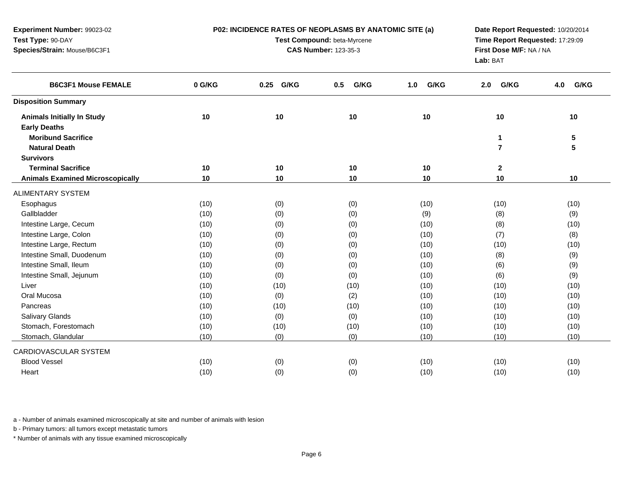| Experiment Number: 99023-02             |        | P02: INCIDENCE RATES OF NEOPLASMS BY ANATOMIC SITE (a) | Date Report Requested: 10/20/2014   |             |                         |             |
|-----------------------------------------|--------|--------------------------------------------------------|-------------------------------------|-------------|-------------------------|-------------|
| Test Type: 90-DAY                       |        | Test Compound: beta-Myrcene                            | Time Report Requested: 17:29:09     |             |                         |             |
| Species/Strain: Mouse/B6C3F1            |        | <b>CAS Number: 123-35-3</b>                            | First Dose M/F: NA / NA<br>Lab: BAT |             |                         |             |
| <b>B6C3F1 Mouse FEMALE</b>              | 0 G/KG | 0.25 G/KG                                              | G/KG<br>0.5                         | G/KG<br>1.0 | G/KG<br>2.0             | G/KG<br>4.0 |
| <b>Disposition Summary</b>              |        |                                                        |                                     |             |                         |             |
| <b>Animals Initially In Study</b>       | 10     | 10                                                     | 10                                  | 10          | 10                      | 10          |
| <b>Early Deaths</b>                     |        |                                                        |                                     |             |                         |             |
| <b>Moribund Sacrifice</b>               |        |                                                        |                                     |             | 1                       | $\sqrt{5}$  |
| <b>Natural Death</b>                    |        |                                                        |                                     |             | $\overline{\mathbf{r}}$ | 5           |
| <b>Survivors</b>                        |        |                                                        |                                     |             |                         |             |
| <b>Terminal Sacrifice</b>               | 10     | 10                                                     | $10$                                | 10          | $\mathbf 2$             |             |
| <b>Animals Examined Microscopically</b> | 10     | 10                                                     | 10                                  | 10          | 10                      | 10          |
| <b>ALIMENTARY SYSTEM</b>                |        |                                                        |                                     |             |                         |             |
| Esophagus                               | (10)   | (0)                                                    | (0)                                 | (10)        | (10)                    | (10)        |
| Gallbladder                             | (10)   | (0)                                                    | (0)                                 | (9)         | (8)                     | (9)         |
| Intestine Large, Cecum                  | (10)   | (0)                                                    | (0)                                 | (10)        | (8)                     | (10)        |
| Intestine Large, Colon                  | (10)   | (0)                                                    | (0)                                 | (10)        | (7)                     | (8)         |
| Intestine Large, Rectum                 | (10)   | (0)                                                    | (0)                                 | (10)        | (10)                    | (10)        |
| Intestine Small, Duodenum               | (10)   | (0)                                                    | (0)                                 | (10)        | (8)                     | (9)         |
| Intestine Small, Ileum                  | (10)   | (0)                                                    | (0)                                 | (10)        | (6)                     | (9)         |
| Intestine Small, Jejunum                | (10)   | (0)                                                    | (0)                                 | (10)        | (6)                     | (9)         |
| Liver                                   | (10)   | (10)                                                   | (10)                                | (10)        | (10)                    | (10)        |
| Oral Mucosa                             | (10)   | (0)                                                    | (2)                                 | (10)        | (10)                    | (10)        |
| Pancreas                                | (10)   | (10)                                                   | (10)                                | (10)        | (10)                    | (10)        |
| Salivary Glands                         | (10)   | (0)                                                    | (0)                                 | (10)        | (10)                    | (10)        |
| Stomach, Forestomach                    | (10)   | (10)                                                   | (10)                                | (10)        | (10)                    | (10)        |
| Stomach, Glandular                      | (10)   | (0)                                                    | (0)                                 | (10)        | (10)                    | (10)        |
| CARDIOVASCULAR SYSTEM                   |        |                                                        |                                     |             |                         |             |
| <b>Blood Vessel</b>                     | (10)   | (0)                                                    | (0)                                 | (10)        | (10)                    | (10)        |
| Heart                                   | (10)   | (0)                                                    | (0)                                 | (10)        | (10)                    | (10)        |
|                                         |        |                                                        |                                     |             |                         |             |

b - Primary tumors: all tumors except metastatic tumors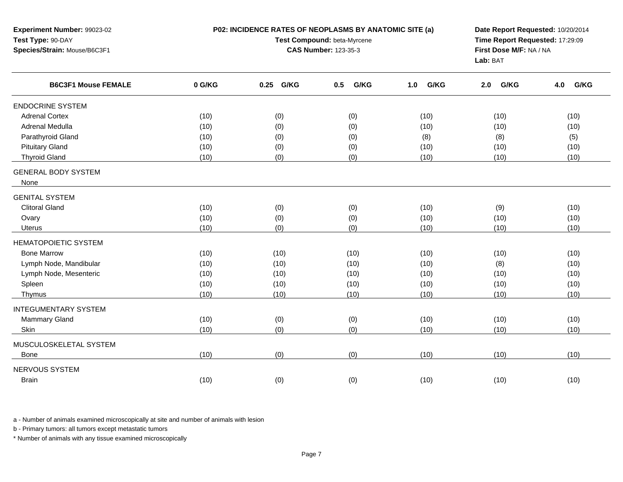| Test Type: 90-DAY<br>Species/Strain: Mouse/B6C3F1 |        | Test Compound: beta-Myrcene<br><b>CAS Number: 123-35-3</b> | Time Report Requested: 17:29:09<br>First Dose M/F: NA / NA<br>Lab: BAT |             |             |             |  |
|---------------------------------------------------|--------|------------------------------------------------------------|------------------------------------------------------------------------|-------------|-------------|-------------|--|
| <b>B6C3F1 Mouse FEMALE</b>                        | 0 G/KG | G/KG<br>0.25                                               | G/KG<br>0.5                                                            | G/KG<br>1.0 | G/KG<br>2.0 | G/KG<br>4.0 |  |
| <b>ENDOCRINE SYSTEM</b>                           |        |                                                            |                                                                        |             |             |             |  |
| <b>Adrenal Cortex</b>                             | (10)   | (0)                                                        | (0)                                                                    | (10)        | (10)        | (10)        |  |
| Adrenal Medulla                                   | (10)   | (0)                                                        | (0)                                                                    | (10)        | (10)        | (10)        |  |
| Parathyroid Gland                                 | (10)   | (0)                                                        | (0)                                                                    | (8)         | (8)         | (5)         |  |
| <b>Pituitary Gland</b>                            | (10)   | (0)                                                        | (0)                                                                    | (10)        | (10)        | (10)        |  |
| <b>Thyroid Gland</b>                              | (10)   | (0)                                                        | (0)                                                                    | (10)        | (10)        | (10)        |  |
| <b>GENERAL BODY SYSTEM</b><br>None                |        |                                                            |                                                                        |             |             |             |  |
| <b>GENITAL SYSTEM</b>                             |        |                                                            |                                                                        |             |             |             |  |
| <b>Clitoral Gland</b>                             | (10)   | (0)                                                        | (0)                                                                    | (10)        | (9)         | (10)        |  |
| Ovary                                             | (10)   | (0)                                                        | (0)                                                                    | (10)        | (10)        | (10)        |  |
| <b>Uterus</b>                                     | (10)   | (0)                                                        | (0)                                                                    | (10)        | (10)        | (10)        |  |
| <b>HEMATOPOIETIC SYSTEM</b>                       |        |                                                            |                                                                        |             |             |             |  |
| <b>Bone Marrow</b>                                | (10)   | (10)                                                       | (10)                                                                   | (10)        | (10)        | (10)        |  |
| Lymph Node, Mandibular                            | (10)   | (10)                                                       | (10)                                                                   | (10)        | (8)         | (10)        |  |
| Lymph Node, Mesenteric                            | (10)   | (10)                                                       | (10)                                                                   | (10)        | (10)        | (10)        |  |
| Spleen                                            | (10)   | (10)                                                       | (10)                                                                   | (10)        | (10)        | (10)        |  |
| Thymus                                            | (10)   | (10)                                                       | (10)                                                                   | (10)        | (10)        | (10)        |  |
| <b>INTEGUMENTARY SYSTEM</b>                       |        |                                                            |                                                                        |             |             |             |  |
| Mammary Gland                                     | (10)   | (0)                                                        | (0)                                                                    | (10)        | (10)        | (10)        |  |
| Skin                                              | (10)   | (0)                                                        | (0)                                                                    | (10)        | (10)        | (10)        |  |
| MUSCULOSKELETAL SYSTEM                            |        |                                                            |                                                                        |             |             |             |  |
| <b>Bone</b>                                       | (10)   | (0)                                                        | (0)                                                                    | (10)        | (10)        | (10)        |  |
| <b>NERVOUS SYSTEM</b>                             |        |                                                            |                                                                        |             |             |             |  |
| <b>Brain</b>                                      | (10)   | (0)                                                        | (0)                                                                    | (10)        | (10)        | (10)        |  |

**P02: INCIDENCE RATES OF NEOPLASMS BY ANATOMIC SITE (a)**

**Date Report Requested:** 10/20/2014

a - Number of animals examined microscopically at site and number of animals with lesion

b - Primary tumors: all tumors except metastatic tumors

**Experiment Number:** 99023-02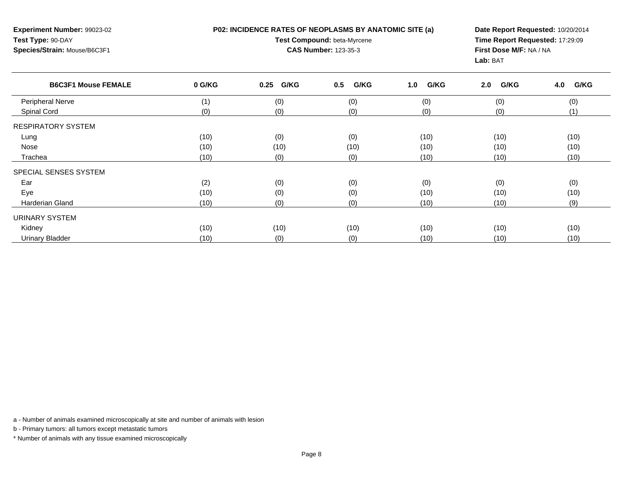**P02: INCIDENCE RATES OF NEOPLASMS BY ANATOMIC SITE (a)**

**Experiment Number:** 99023-02**Test Type:** 90-DAY**Species/Strain:** Mouse/B6C3F1

## **Test Compound:** beta-Myrcene**CAS Number:** 123-35-3

**Date Report Requested:** 10/20/2014**Time Report Requested:** 17:29:09**First Dose M/F:** NA / NA**Lab:** BAT

| <b>B6C3F1 Mouse FEMALE</b> | 0 G/KG | 0.25 G/KG | G/KG<br>0.5 | G/KG<br>1.0 | G/KG<br>2.0 | G/KG<br>4.0 |
|----------------------------|--------|-----------|-------------|-------------|-------------|-------------|
| Peripheral Nerve           | (1)    | (0)       | (0)         | (0)         | (0)         | (0)         |
| Spinal Cord                | (0)    | (0)       | (0)         | (0)         | (0)         | (1)         |
| <b>RESPIRATORY SYSTEM</b>  |        |           |             |             |             |             |
| Lung                       | (10)   | (0)       | (0)         | (10)        | (10)        | (10)        |
| Nose                       | (10)   | (10)      | (10)        | (10)        | (10)        | (10)        |
| Trachea                    | (10)   | (0)       | (0)         | (10)        | (10)        | (10)        |
| SPECIAL SENSES SYSTEM      |        |           |             |             |             |             |
| Ear                        | (2)    | (0)       | (0)         | (0)         | (0)         | (0)         |
| Eye                        | (10)   | (0)       | (0)         | (10)        | (10)        | (10)        |
| <b>Harderian Gland</b>     | (10)   | (0)       | (0)         | (10)        | (10)        | (9)         |
| URINARY SYSTEM             |        |           |             |             |             |             |
| Kidney                     | (10)   | (10)      | (10)        | (10)        | (10)        | (10)        |
| <b>Urinary Bladder</b>     | (10)   | (0)       | (0)         | (10)        | (10)        | (10)        |

a - Number of animals examined microscopically at site and number of animals with lesion

b - Primary tumors: all tumors except metastatic tumors